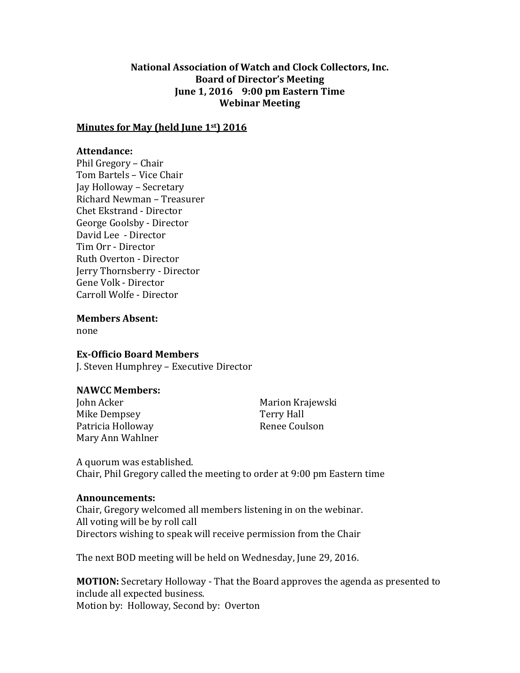# **National Association of Watch and Clock Collectors, Inc. Board of Director's Meeting June 1, 2016 9:00 pm Eastern Time Webinar Meeting**

### **Minutes for May (held June 1st) 2016**

#### **Attendance:**

Phil Gregory – Chair Tom Bartels – Vice Chair Jay Holloway – Secretary Richard Newman – Treasurer Chet Ekstrand - Director George Goolsby - Director David Lee - Director Tim Orr - Director Ruth Overton - Director Jerry Thornsberry - Director Gene Volk - Director Carroll Wolfe - Director

**Members Absent:**

none

#### **Ex-Officio Board Members**

J. Steven Humphrey – Executive Director

## **NAWCC Members:**

Mike Dempsey **Terry Hall** Patricia Holloway **Renee Coulson** Mary Ann Wahlner

John Acker Marion Krajewski

A quorum was established. Chair, Phil Gregory called the meeting to order at 9:00 pm Eastern time

#### **Announcements:**

Chair, Gregory welcomed all members listening in on the webinar. All voting will be by roll call Directors wishing to speak will receive permission from the Chair

The next BOD meeting will be held on Wednesday, June 29, 2016.

**MOTION:** Secretary Holloway - That the Board approves the agenda as presented to include all expected business. Motion by: Holloway, Second by: Overton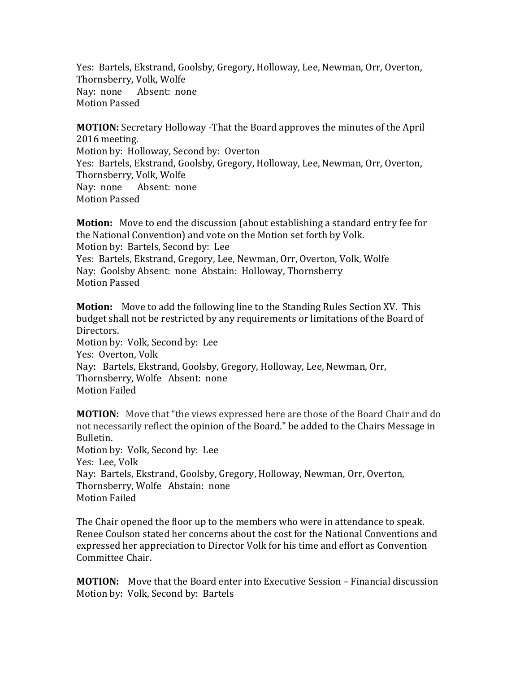Yes: Bartels, Ekstrand, Goolsby, Gregory, Holloway, Lee, Newman, Orr, Overton, Thornsberry, Volk, Wolfe Nay: none Absent: none Motion Passed

**MOTION:** Secretary Holloway -That the Board approves the minutes of the April 2016 meeting. Motion by: Holloway, Second by: Overton Yes: Bartels, Ekstrand, Goolsby, Gregory, Holloway, Lee, Newman, Orr, Overton, Thornsberry, Volk, Wolfe Nay: none Absent: none Motion Passed

**Motion:** Move to end the discussion (about establishing a standard entry fee for the National Convention) and vote on the Motion set forth by Volk. Motion by: Bartels, Second by: Lee Yes: Bartels, Ekstrand, Gregory, Lee, Newman, Orr, Overton, Volk, Wolfe Nay: Goolsby Absent: none Abstain: Holloway, Thornsberry Motion Passed

**Motion:** Move to add the following line to the Standing Rules Section XV. This budget shall not be restricted by any requirements or limitations of the Board of Directors. Motion by: Volk, Second by: Lee Yes: Overton, Volk Nay: Bartels, Ekstrand, Goolsby, Gregory, Holloway, Lee, Newman, Orr, Thornsberry, Wolfe Absent: none Motion Failed

**MOTION:** Move that "the views expressed here are those of the Board Chair and do not necessarily reflect the opinion of the Board." be added to the Chairs Message in Bulletin. Motion by: Volk, Second by: Lee Yes: Lee, Volk Nay: Bartels, Ekstrand, Goolsby, Gregory, Holloway, Newman, Orr, Overton, Thornsberry, Wolfe Abstain: none Motion Failed

The Chair opened the floor up to the members who were in attendance to speak. Renee Coulson stated her concerns about the cost for the National Conventions and expressed her appreciation to Director Volk for his time and effort as Convention Committee Chair.

**MOTION:** Move that the Board enter into Executive Session – Financial discussion Motion by: Volk, Second by: Bartels